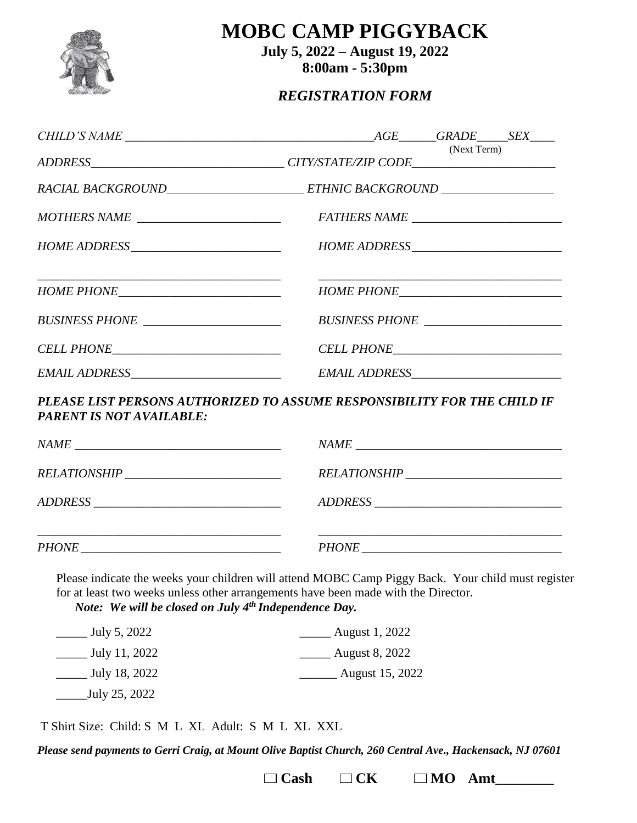

**MOBC CAMP PIGGYBACK**

**July 5, 2022 – August 19, 2022 8:00am - 5:30pm**

#### *REGISTRATION FORM*

|                                                                                                             | (Next Term) |  |
|-------------------------------------------------------------------------------------------------------------|-------------|--|
| RACIAL BACKGROUND_________________________ETHNIC BACKGROUND ____________________                            |             |  |
| MOTHERS NAME _______________________                                                                        |             |  |
|                                                                                                             |             |  |
|                                                                                                             |             |  |
|                                                                                                             |             |  |
|                                                                                                             |             |  |
|                                                                                                             |             |  |
| PLEASE LIST PERSONS AUTHORIZED TO ASSUME RESPONSIBILITY FOR THE CHILD IF<br><b>PARENT IS NOT AVAILABLE:</b> |             |  |
|                                                                                                             |             |  |
|                                                                                                             |             |  |
| ADDRESS                                                                                                     |             |  |
|                                                                                                             |             |  |

*PHONE \_\_\_\_\_\_\_\_\_\_\_\_\_\_\_\_\_\_\_\_\_\_\_\_\_\_\_\_\_\_\_\_ PHONE \_\_\_\_\_\_\_\_\_\_\_\_\_\_\_\_\_\_\_\_\_\_\_\_\_\_\_\_\_\_\_\_*

Please indicate the weeks your children will attend MOBC Camp Piggy Back. Your child must register for at least two weeks unless other arrangements have been made with the Director.

*Note: We will be closed on July 4th Independence Day.*

| July 5, 2022               | August 1, 2022        |
|----------------------------|-----------------------|
| July 11, 2022              | <b>August 8, 2022</b> |
| July 18, 2022              | August 15, 2022       |
| July 25, 2022 <sub>-</sub> |                       |

T Shirt Size: Child: S M L XL Adult: S M L XL XXL

*Please send payments to Gerri Craig, at Mount Olive Baptist Church, 260 Central Ave., Hackensack, NJ 07601*

 $\Box$  **Cash**  $\Box$  **CK**  $\Box$  **MO Amt\_\_\_\_\_\_\_** 

*\_\_\_\_\_\_\_\_\_\_\_\_\_\_\_\_\_\_\_\_\_\_\_\_\_\_\_\_\_\_\_\_\_\_\_\_\_\_\_ \_\_\_\_\_\_\_\_\_\_\_\_\_\_\_\_\_\_\_\_\_\_\_\_\_\_\_\_\_\_\_\_\_\_\_\_\_\_\_*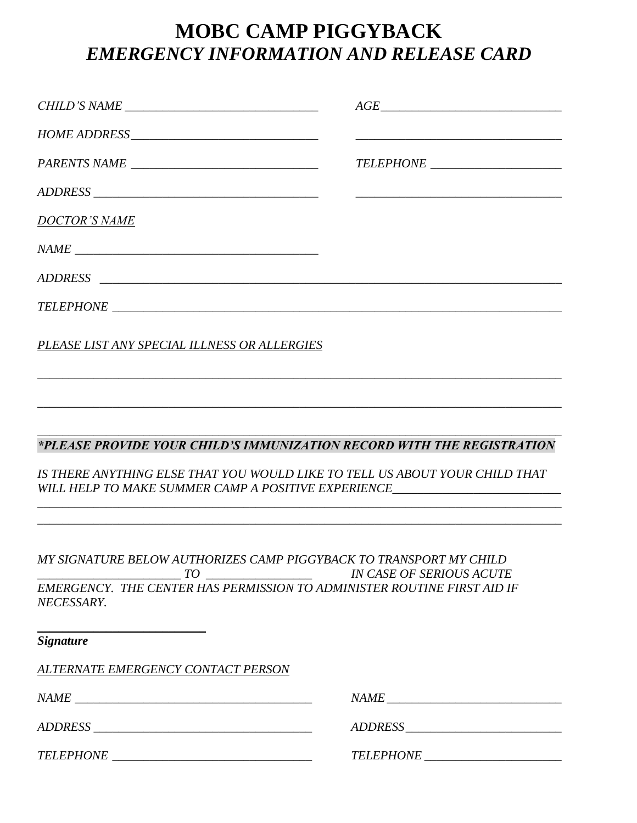# **MOBC CAMP PIGGYBACK** *EMERGENCY INFORMATION AND RELEASE CARD*

|                                                                                                                                           | $\textit{AGE}\_\textit{54}$                                                                                                                                                                                                                                                                                                                                                                                                                                                            |
|-------------------------------------------------------------------------------------------------------------------------------------------|----------------------------------------------------------------------------------------------------------------------------------------------------------------------------------------------------------------------------------------------------------------------------------------------------------------------------------------------------------------------------------------------------------------------------------------------------------------------------------------|
|                                                                                                                                           |                                                                                                                                                                                                                                                                                                                                                                                                                                                                                        |
|                                                                                                                                           |                                                                                                                                                                                                                                                                                                                                                                                                                                                                                        |
|                                                                                                                                           |                                                                                                                                                                                                                                                                                                                                                                                                                                                                                        |
| <b>DOCTOR'S NAME</b>                                                                                                                      |                                                                                                                                                                                                                                                                                                                                                                                                                                                                                        |
|                                                                                                                                           |                                                                                                                                                                                                                                                                                                                                                                                                                                                                                        |
|                                                                                                                                           |                                                                                                                                                                                                                                                                                                                                                                                                                                                                                        |
|                                                                                                                                           |                                                                                                                                                                                                                                                                                                                                                                                                                                                                                        |
| PLEASE LIST ANY SPECIAL ILLNESS OR ALLERGIES                                                                                              |                                                                                                                                                                                                                                                                                                                                                                                                                                                                                        |
|                                                                                                                                           |                                                                                                                                                                                                                                                                                                                                                                                                                                                                                        |
| *PLEASE PROVIDE YOUR CHILD'S IMMUNIZATION RECORD WITH THE REGISTRATION                                                                    |                                                                                                                                                                                                                                                                                                                                                                                                                                                                                        |
| IS THERE ANYTHING ELSE THAT YOU WOULD LIKE TO TELL US ABOUT YOUR CHILD THAT<br>WILL HELP TO MAKE SUMMER CAMP A POSITIVE EXPERIENCE        |                                                                                                                                                                                                                                                                                                                                                                                                                                                                                        |
|                                                                                                                                           |                                                                                                                                                                                                                                                                                                                                                                                                                                                                                        |
| MY SIGNATURE BELOW AUTHORIZES CAMP PIGGYBACK TO TRANSPORT MY CHILD<br>NECESSARY.                                                          |                                                                                                                                                                                                                                                                                                                                                                                                                                                                                        |
| <u> 1989 - Johann Harry Harry Harry Harry Harry Harry Harry Harry Harry Harry Harry Harry Harry Harry Harry Harry</u><br><b>Signature</b> |                                                                                                                                                                                                                                                                                                                                                                                                                                                                                        |
| <u>ALTERNATE EMERGENCY CONTACT PERSON</u>                                                                                                 |                                                                                                                                                                                                                                                                                                                                                                                                                                                                                        |
|                                                                                                                                           | $\label{eq:1} \begin{minipage}{0.9\linewidth} \textit{NAME}\xspace = \textit{1} \xspace - \textit{1} \xspace - \textit{1} \xspace - \textit{1} \xspace - \textit{1} \xspace - \textit{1} \xspace - \textit{1} \xspace - \textit{1} \xspace - \textit{1} \xspace - \textit{1} \xspace - \textit{1} \xspace - \textit{1} \xspace - \textit{1} \xspace - \textit{1} \xspace - \textit{1} \xspace - \textit{1} \xspace - \textit{1} \xspace - \textit{1} \xspace - \textit{1} \xspace - \$ |
|                                                                                                                                           |                                                                                                                                                                                                                                                                                                                                                                                                                                                                                        |
|                                                                                                                                           |                                                                                                                                                                                                                                                                                                                                                                                                                                                                                        |
|                                                                                                                                           |                                                                                                                                                                                                                                                                                                                                                                                                                                                                                        |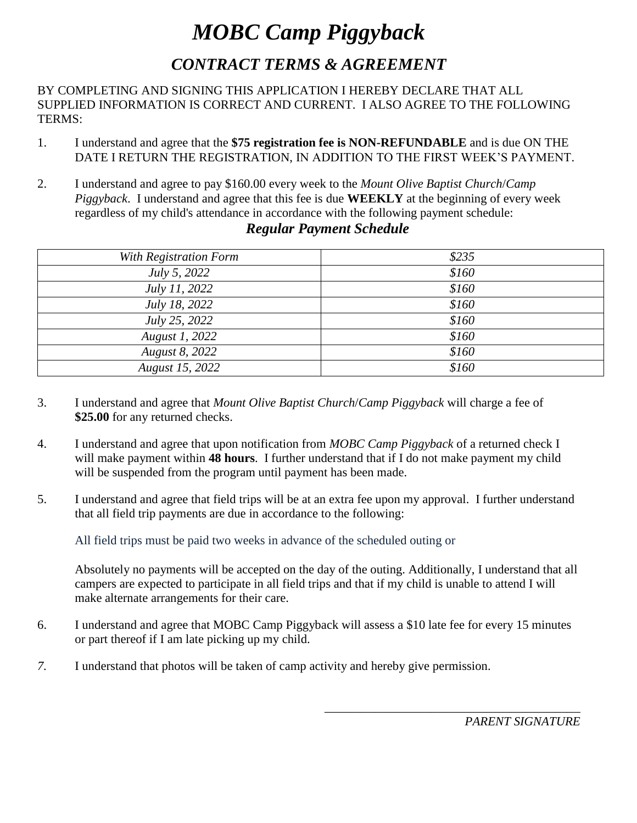# *MOBC Camp Piggyback CONTRACT TERMS & AGREEMENT*

BY COMPLETING AND SIGNING THIS APPLICATION I HEREBY DECLARE THAT ALL SUPPLIED INFORMATION IS CORRECT AND CURRENT. I ALSO AGREE TO THE FOLLOWING TERMS:

- 1. I understand and agree that the **\$75 registration fee is NON-REFUNDABLE** and is due ON THE DATE I RETURN THE REGISTRATION, IN ADDITION TO THE FIRST WEEK'S PAYMENT.
- 2. I understand and agree to pay \$160.00 every week to the *Mount Olive Baptist Church*/*Camp Piggyback*. I understand and agree that this fee is due **WEEKLY** at the beginning of every week regardless of my child's attendance in accordance with the following payment schedule:

| With Registration Form | \$235 |
|------------------------|-------|
| <i>July 5, 2022</i>    | \$160 |
| July 11, 2022          | \$160 |
| <i>July 18, 2022</i>   | \$160 |
| <i>July 25, 2022</i>   | \$160 |
| August 1, 2022         | \$160 |
| August 8, 2022         | \$160 |
| August 15, 2022        | \$160 |

#### *Regular Payment Schedule*

- 3. I understand and agree that *Mount Olive Baptist Church*/*Camp Piggyback* will charge a fee of **\$25.00** for any returned checks.
- 4. I understand and agree that upon notification from *MOBC Camp Piggyback* of a returned check I will make payment within **48 hours**. I further understand that if I do not make payment my child will be suspended from the program until payment has been made.
- 5. I understand and agree that field trips will be at an extra fee upon my approval. I further understand that all field trip payments are due in accordance to the following:

All field trips must be paid two weeks in advance of the scheduled outing or

Absolutely no payments will be accepted on the day of the outing. Additionally, I understand that all campers are expected to participate in all field trips and that if my child is unable to attend I will make alternate arrangements for their care.

- 6. I understand and agree that MOBC Camp Piggyback will assess a \$10 late fee for every 15 minutes or part thereof if I am late picking up my child.
- *7.* I understand that photos will be taken of camp activity and hereby give permission.

*PARENT SIGNATURE*

*\_\_\_\_\_\_\_\_\_\_\_\_\_\_\_\_\_\_\_\_\_\_\_\_\_\_\_\_\_\_\_\_\_\_\_\_\_\_\_\_\_*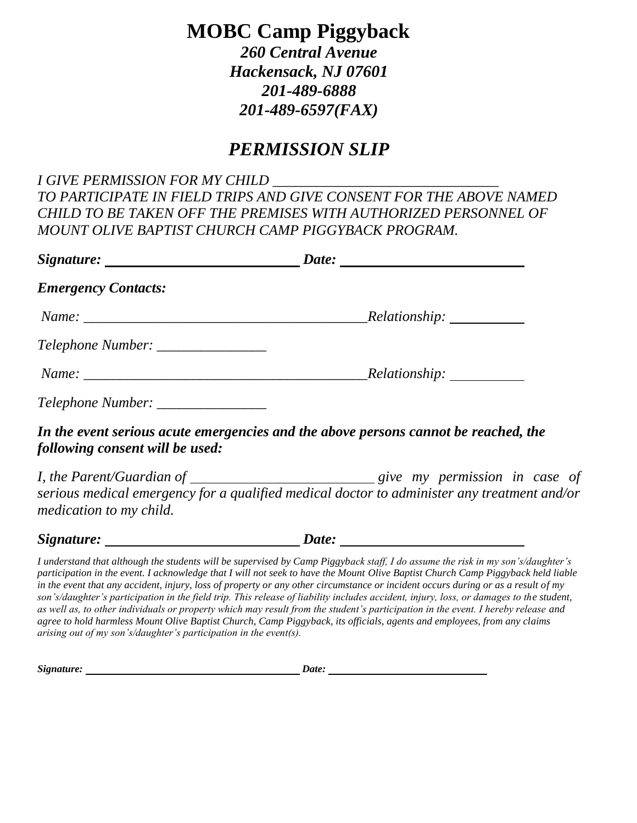# **MOBC Camp Piggyback**

*260 Central Avenue Hackensack, NJ 07601 201-489-6888 201-489-6597(FAX)*

### *PERMISSION SLIP*

*I GIVE PERMISSION FOR MY CHILD \_\_\_\_\_\_\_\_\_\_\_\_\_\_\_\_\_\_\_\_\_\_\_\_\_\_\_\_\_\_\_ TO PARTICIPATE IN FIELD TRIPS AND GIVE CONSENT FOR THE ABOVE NAMED CHILD TO BE TAKEN OFF THE PREMISES WITH AUTHORIZED PERSONNEL OF MOUNT OLIVE BAPTIST CHURCH CAMP PIGGYBACK PROGRAM.*

|                                                                                 | Date:                                                                                                                                                                                                                                                                                                                                                                                                                                             |
|---------------------------------------------------------------------------------|---------------------------------------------------------------------------------------------------------------------------------------------------------------------------------------------------------------------------------------------------------------------------------------------------------------------------------------------------------------------------------------------------------------------------------------------------|
| <b>Emergency Contacts:</b>                                                      |                                                                                                                                                                                                                                                                                                                                                                                                                                                   |
|                                                                                 | $Name: ____________$                                                                                                                                                                                                                                                                                                                                                                                                                              |
| Telephone Number: _______________                                               |                                                                                                                                                                                                                                                                                                                                                                                                                                                   |
|                                                                                 |                                                                                                                                                                                                                                                                                                                                                                                                                                                   |
| Telephone Number: ________________                                              |                                                                                                                                                                                                                                                                                                                                                                                                                                                   |
| following consent will be used:                                                 | In the event serious acute emergencies and the above persons cannot be reached, the                                                                                                                                                                                                                                                                                                                                                               |
| medication to my child.                                                         | serious medical emergency for a qualified medical doctor to administer any treatment and/or                                                                                                                                                                                                                                                                                                                                                       |
| $Signature: \_\_\_\_\_\_\_\_\_\_\_\_\_\_\_\_\_\_\_\_\_\_\_\_\_\_\_\_\_\_\_\_\_$ | Date: $\frac{1}{\sqrt{1-\frac{1}{2}} \cdot \frac{1}{2} \cdot \frac{1}{2} \cdot \frac{1}{2} \cdot \frac{1}{2} \cdot \frac{1}{2} \cdot \frac{1}{2} \cdot \frac{1}{2} \cdot \frac{1}{2} \cdot \frac{1}{2} \cdot \frac{1}{2} \cdot \frac{1}{2} \cdot \frac{1}{2} \cdot \frac{1}{2} \cdot \frac{1}{2} \cdot \frac{1}{2} \cdot \frac{1}{2} \cdot \frac{1}{2} \cdot \frac{1}{2} \cdot \frac{1}{2} \cdot \frac{1}{2} \cdot \frac{1}{2} \cdot \frac{1}{2}$ |

*I understand that although the students will be supervised by Camp Piggyback staff, I do assume the risk in my son's/daughter's participation in the event. I acknowledge that I will not seek to have the Mount Olive Baptist Church Camp Piggyback held liable in the event that any accident, injury, loss of property or any other circumstance or incident occurs during or as a result of my son's/daughter's participation in the field trip. This release of liability includes accident, injury, loss, or damages to the student, as well as, to other individuals or property which may result from the student's participation in the event. I hereby release and agree to hold harmless Mount Olive Baptist Church, Camp Piggyback, its officials, agents and employees, from any claims arising out of my son's/daughter's participation in the event(s).*

*Signature: Date:*